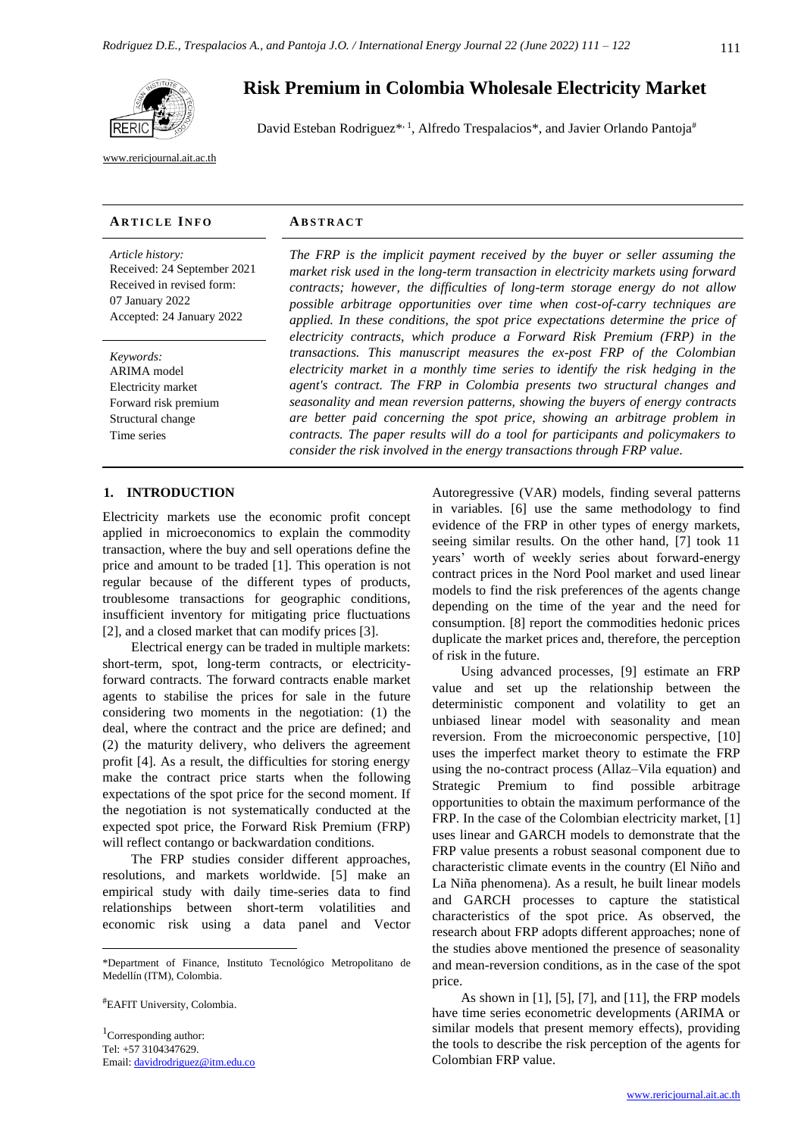

[www.rericjournal.ait.ac.th](file:///C:/Reric-Data/JOURNAL/Accepted%20Paper/Users/RERIC/Vol.11%20No.2/Formatted/For%20Print/www.rericjournal.ait.ac.th)

#### **AR T I C L E I N F O AB S T R A C T**

*Article history:* Received: 24 September 2021 Received in revised form: 07 January 2022 Accepted: 24 January 2022

*Keywords:* ARIMA model Electricity market Forward risk premium Structural change Time series

# **Risk Premium in Colombia Wholesale Electricity Market**

David Esteban Rodriguez\*,<sup>1</sup>, Alfredo Trespalacios\*, and Javier Orlando Pantoja<sup>#</sup>

*The FRP is the implicit payment received by the buyer or seller assuming the market risk used in the long-term transaction in electricity markets using forward contracts; however, the difficulties of long-term storage energy do not allow possible arbitrage opportunities over time when cost-of-carry techniques are applied. In these conditions, the spot price expectations determine the price of electricity contracts, which produce a Forward Risk Premium (FRP) in the transactions. This manuscript measures the ex-post FRP of the Colombian electricity market in a monthly time series to identify the risk hedging in the agent's contract. The FRP in Colombia presents two structural changes and seasonality and mean reversion patterns, showing the buyers of energy contracts are better paid concerning the spot price, showing an arbitrage problem in contracts. The paper results will do a tool for participants and policymakers to consider the risk involved in the energy transactions through FRP value.*

#### 1. **INTRODUCTION**

Electricity markets use the economic profit concept applied in microeconomics to explain the commodity transaction, where the buy and sell operations define the price and amount to be traded [1]. This operation is not regular because of the different types of products, troublesome transactions for geographic conditions, insufficient inventory for mitigating price fluctuations [2], and a closed market that can modify prices [3].

Electrical energy can be traded in multiple markets: short-term, spot, long-term contracts, or electricityforward contracts. The forward contracts enable market agents to stabilise the prices for sale in the future considering two moments in the negotiation: (1) the deal, where the contract and the price are defined; and (2) the maturity delivery, who delivers the agreement profit [4]. As a result, the difficulties for storing energy make the contract price starts when the following expectations of the spot price for the second moment. If the negotiation is not systematically conducted at the expected spot price, the Forward Risk Premium (FRP) will reflect contango or backwardation conditions.

The FRP studies consider different approaches, resolutions, and markets worldwide. [5] make an empirical study with daily time-series data to find relationships between short-term volatilities and economic risk using a data panel and Vector

#EAFIT University, Colombia.

<sup>1</sup>Corresponding author: Tel: +57 3104347629. Email: [davidrodriguez@itm.edu.co](mailto:davidrodriguez@itm.edu.co) Autoregressive (VAR) models, finding several patterns in variables. [6] use the same methodology to find evidence of the FRP in other types of energy markets, seeing similar results. On the other hand, [7] took 11 years' worth of weekly series about forward-energy contract prices in the Nord Pool market and used linear models to find the risk preferences of the agents change depending on the time of the year and the need for consumption. [8] report the commodities hedonic prices duplicate the market prices and, therefore, the perception of risk in the future.

Using advanced processes, [9] estimate an FRP value and set up the relationship between the deterministic component and volatility to get an unbiased linear model with seasonality and mean reversion. From the microeconomic perspective, [10] uses the imperfect market theory to estimate the FRP using the no-contract process (Allaz–Vila equation) and Strategic Premium to find possible arbitrage opportunities to obtain the maximum performance of the FRP. In the case of the Colombian electricity market, [1] uses linear and GARCH models to demonstrate that the FRP value presents a robust seasonal component due to characteristic climate events in the country (El Niño and La Niña phenomena). As a result, he built linear models and GARCH processes to capture the statistical characteristics of the spot price. As observed, the research about FRP adopts different approaches; none of the studies above mentioned the presence of seasonality and mean-reversion conditions, as in the case of the spot price.

As shown in [1], [5], [7], and [11], the FRP models have time series econometric developments (ARIMA or similar models that present memory effects), providing the tools to describe the risk perception of the agents for Colombian FRP value.

<sup>\*</sup>Department of Finance, Instituto Tecnológico Metropolitano de Medellín (ITM), Colombia.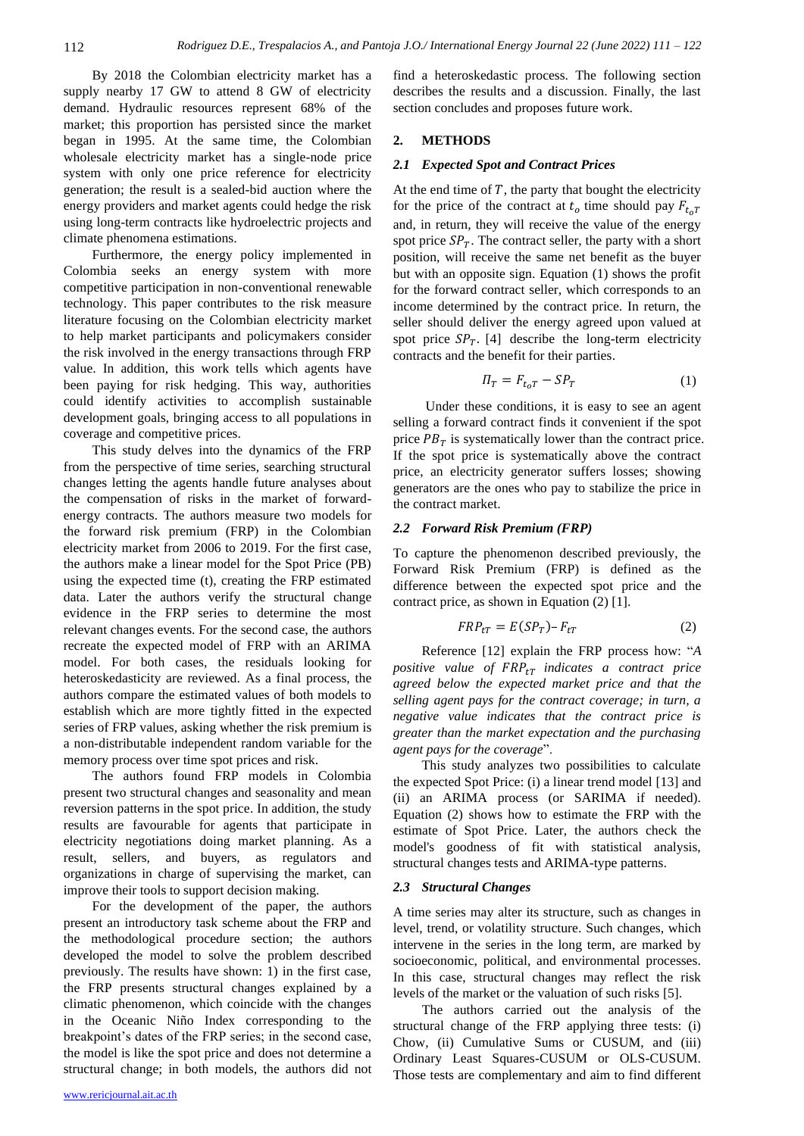By 2018 the Colombian electricity market has a supply nearby 17 GW to attend 8 GW of electricity demand. Hydraulic resources represent 68% of the market; this proportion has persisted since the market began in 1995. At the same time, the Colombian wholesale electricity market has a single-node price system with only one price reference for electricity generation; the result is a sealed-bid auction where the energy providers and market agents could hedge the risk using long-term contracts like hydroelectric projects and climate phenomena estimations.

Furthermore, the energy policy implemented in Colombia seeks an energy system with more competitive participation in non-conventional renewable technology. This paper contributes to the risk measure literature focusing on the Colombian electricity market to help market participants and policymakers consider the risk involved in the energy transactions through FRP value. In addition, this work tells which agents have been paying for risk hedging. This way, authorities could identify activities to accomplish sustainable development goals, bringing access to all populations in coverage and competitive prices.

This study delves into the dynamics of the FRP from the perspective of time series, searching structural changes letting the agents handle future analyses about the compensation of risks in the market of forwardenergy contracts. The authors measure two models for the forward risk premium (FRP) in the Colombian electricity market from 2006 to 2019. For the first case, the authors make a linear model for the Spot Price (PB) using the expected time (t), creating the FRP estimated data. Later the authors verify the structural change evidence in the FRP series to determine the most relevant changes events. For the second case, the authors recreate the expected model of FRP with an ARIMA model. For both cases, the residuals looking for heteroskedasticity are reviewed. As a final process, the authors compare the estimated values of both models to establish which are more tightly fitted in the expected series of FRP values, asking whether the risk premium is a non-distributable independent random variable for the memory process over time spot prices and risk.

The authors found FRP models in Colombia present two structural changes and seasonality and mean reversion patterns in the spot price. In addition, the study results are favourable for agents that participate in electricity negotiations doing market planning. As a result, sellers, and buyers, as regulators and organizations in charge of supervising the market, can improve their tools to support decision making.

For the development of the paper, the authors present an introductory task scheme about the FRP and the methodological procedure section; the authors developed the model to solve the problem described previously. The results have shown: 1) in the first case, the FRP presents structural changes explained by a climatic phenomenon, which coincide with the changes in the Oceanic Niño Index corresponding to the breakpoint's dates of the FRP series; in the second case, the model is like the spot price and does not determine a structural change; in both models, the authors did not find a heteroskedastic process. The following section describes the results and a discussion. Finally, the last section concludes and proposes future work.

# **2. METHODS**

#### *2.1 Expected Spot and Contract Prices*

At the end time of  $T$ , the party that bought the electricity for the price of the contract at  $t_0$  time should pay  $F_{t_0T}$ and, in return, they will receive the value of the energy spot price  $SP_T$ . The contract seller, the party with a short position, will receive the same net benefit as the buyer but with an opposite sign. Equation (1) shows the profit for the forward contract seller, which corresponds to an income determined by the contract price. In return, the seller should deliver the energy agreed upon valued at spot price  $SP_T$ . [4] describe the long-term electricity contracts and the benefit for their parties.

$$
\Pi_T = F_{t_0 T} - S P_T \tag{1}
$$

Under these conditions, it is easy to see an agent selling a forward contract finds it convenient if the spot price  $PB_T$  is systematically lower than the contract price. If the spot price is systematically above the contract price, an electricity generator suffers losses; showing generators are the ones who pay to stabilize the price in the contract market.

#### *2.2 Forward Risk Premium (FRP)*

To capture the phenomenon described previously, the Forward Risk Premium (FRP) is defined as the difference between the expected spot price and the contract price, as shown in Equation (2) [1].

$$
FRP_{tT} = E(SP_T) - F_{tT}
$$
 (2)

Reference [12] explain the FRP process how: "*A positive value of indicates a contract price agreed below the expected market price and that the selling agent pays for the contract coverage; in turn, a negative value indicates that the contract price is greater than the market expectation and the purchasing agent pays for the coverage*".

This study analyzes two possibilities to calculate the expected Spot Price: (i) a linear trend model [13] and (ii) an ARIMA process (or SARIMA if needed). Equation (2) shows how to estimate the FRP with the estimate of Spot Price. Later, the authors check the model's goodness of fit with statistical analysis, structural changes tests and ARIMA-type patterns.

#### *2.3 Structural Changes*

A time series may alter its structure, such as changes in level, trend, or volatility structure. Such changes, which intervene in the series in the long term, are marked by socioeconomic, political, and environmental processes. In this case, structural changes may reflect the risk levels of the market or the valuation of such risks [5].

The authors carried out the analysis of the structural change of the FRP applying three tests: (i) Chow, (ii) Cumulative Sums or CUSUM, and (iii) Ordinary Least Squares-CUSUM or OLS-CUSUM. Those tests are complementary and aim to find different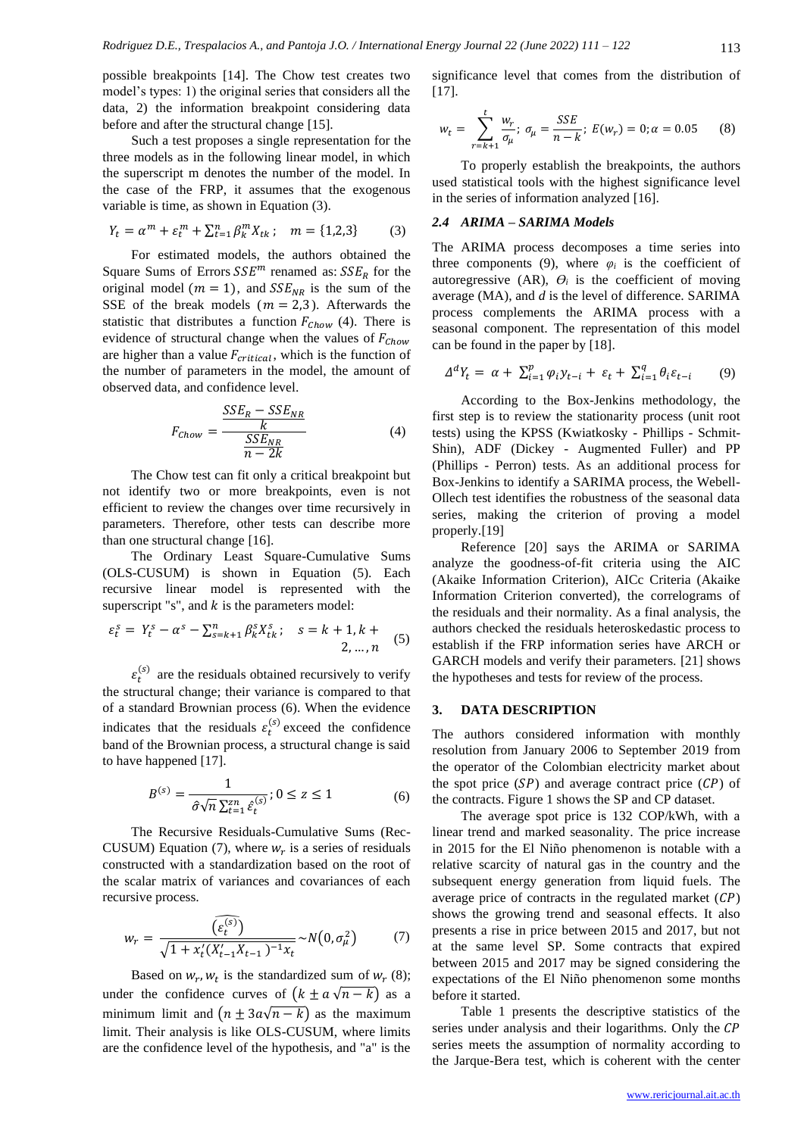possible breakpoints [14]. The Chow test creates two model's types: 1) the original series that considers all the data, 2) the information breakpoint considering data before and after the structural change [15].

Such a test proposes a single representation for the three models as in the following linear model, in which the superscript m denotes the number of the model. In the case of the FRP, it assumes that the exogenous variable is time, as shown in Equation (3).

$$
Y_t = \alpha^m + \varepsilon_t^m + \sum_{t=1}^n \beta_k^m X_{tk}; \quad m = \{1, 2, 3\} \tag{3}
$$

For estimated models, the authors obtained the Square Sums of Errors  $SSE^m$  renamed as:  $SSE_R$  for the original model ( $m = 1$ ), and  $SSE_{NR}$  is the sum of the SSE of the break models ( $m = 2,3$ ). Afterwards the statistic that distributes a function  $F_{Chow}$  (4). There is evidence of structural change when the values of  $F_{Chow}$ are higher than a value  $F_{critical}$ , which is the function of the number of parameters in the model, the amount of observed data, and confidence level.

$$
F_{Chow} = \frac{SSE_R - SSE_{NR}}{\frac{SSE_{NR}}{n - 2k}}
$$
(4)

The Chow test can fit only a critical breakpoint but not identify two or more breakpoints, even is not efficient to review the changes over time recursively in parameters. Therefore, other tests can describe more than one structural change [16].

The Ordinary Least Square-Cumulative Sums (OLS-CUSUM) is shown in Equation (5). Each recursive linear model is represented with the superscript "s", and  $k$  is the parameters model:

$$
\varepsilon_t^s = Y_t^s - \alpha^s - \sum_{s=k+1}^n \beta_k^s X_{tk}^s; \quad s = k+1, k+2, ..., n \quad (5)
$$

 $\varepsilon_t^{(s)}$  are the residuals obtained recursively to verify the structural change; their variance is compared to that of a standard Brownian process (6). When the evidence indicates that the residuals  $\varepsilon_t^{(s)}$  exceed the confidence band of the Brownian process, a structural change is said to have happened [17].

$$
B^{(s)} = \frac{1}{\hat{\sigma}\sqrt{n}\sum_{t=1}^{zn}\hat{\varepsilon}_t^{(s)}}; 0 \le z \le 1
$$
 (6)

The Recursive Residuals-Cumulative Sums (Rec-CUSUM) Equation (7), where  $w_r$  is a series of residuals constructed with a standardization based on the root of the scalar matrix of variances and covariances of each recursive process.

$$
w_r = \frac{\widehat{(\varepsilon_t^{(s)})}}{\sqrt{1 + x_t'(X_{t-1}'X_{t-1})^{-1}x_t}} \sim N(0, \sigma_\mu^2)
$$
(7)

Based on  $w_r$ ,  $w_t$  is the standardized sum of  $w_r$  (8); under the confidence curves of  $(k \pm a \sqrt{n-k})$  as a minimum limit and  $(n \pm 3a\sqrt{n-k})$  as the maximum limit. Their analysis is like OLS-CUSUM, where limits are the confidence level of the hypothesis, and "a" is the

significance level that comes from the distribution of [17].

$$
w_t = \sum_{r=k+1}^t \frac{w_r}{\sigma_\mu}; \ \sigma_\mu = \frac{SSE}{n-k}; \ E(w_r) = 0; \alpha = 0.05 \tag{8}
$$

To properly establish the breakpoints, the authors used statistical tools with the highest significance level in the series of information analyzed [16].

# *2.4 ARIMA – SARIMA Models*

The ARIMA process decomposes a time series into three components (9), where  $\varphi_i$  is the coefficient of autoregressive (AR),  $\theta_i$  is the coefficient of moving average (MA), and *d* is the level of difference. SARIMA process complements the ARIMA process with a seasonal component. The representation of this model can be found in the paper by [18].

$$
\Delta^d Y_t = \alpha + \sum_{i=1}^p \varphi_i y_{t-i} + \varepsilon_t + \sum_{i=1}^q \theta_i \varepsilon_{t-i} \qquad (9)
$$

According to the Box-Jenkins methodology, the first step is to review the stationarity process (unit root tests) using the KPSS (Kwiatkosky - Phillips - Schmit-Shin), ADF (Dickey - Augmented Fuller) and PP (Phillips - Perron) tests. As an additional process for Box-Jenkins to identify a SARIMA process, the Webell-Ollech test identifies the robustness of the seasonal data series, making the criterion of proving a model properly.[19]

Reference [20] says the ARIMA or SARIMA analyze the goodness-of-fit criteria using the AIC (Akaike Information Criterion), AICc Criteria (Akaike Information Criterion converted), the correlograms of the residuals and their normality. As a final analysis, the authors checked the residuals heteroskedastic process to establish if the FRP information series have ARCH or GARCH models and verify their parameters. [21] shows the hypotheses and tests for review of the process.

# **3. DATA DESCRIPTION**

The authors considered information with monthly resolution from January 2006 to September 2019 from the operator of the Colombian electricity market about the spot price  $(SP)$  and average contract price  $(CP)$  of the contracts. Figure 1 shows the SP and CP dataset.

The average spot price is 132 COP/kWh, with a linear trend and marked seasonality. The price increase in 2015 for the El Niño phenomenon is notable with a relative scarcity of natural gas in the country and the subsequent energy generation from liquid fuels. The average price of contracts in the regulated market  $(CP)$ shows the growing trend and seasonal effects. It also presents a rise in price between 2015 and 2017, but not at the same level SP. Some contracts that expired between 2015 and 2017 may be signed considering the expectations of the El Niño phenomenon some months before it started.

Table 1 presents the descriptive statistics of the series under analysis and their logarithms. Only the CP series meets the assumption of normality according to the Jarque-Bera test, which is coherent with the center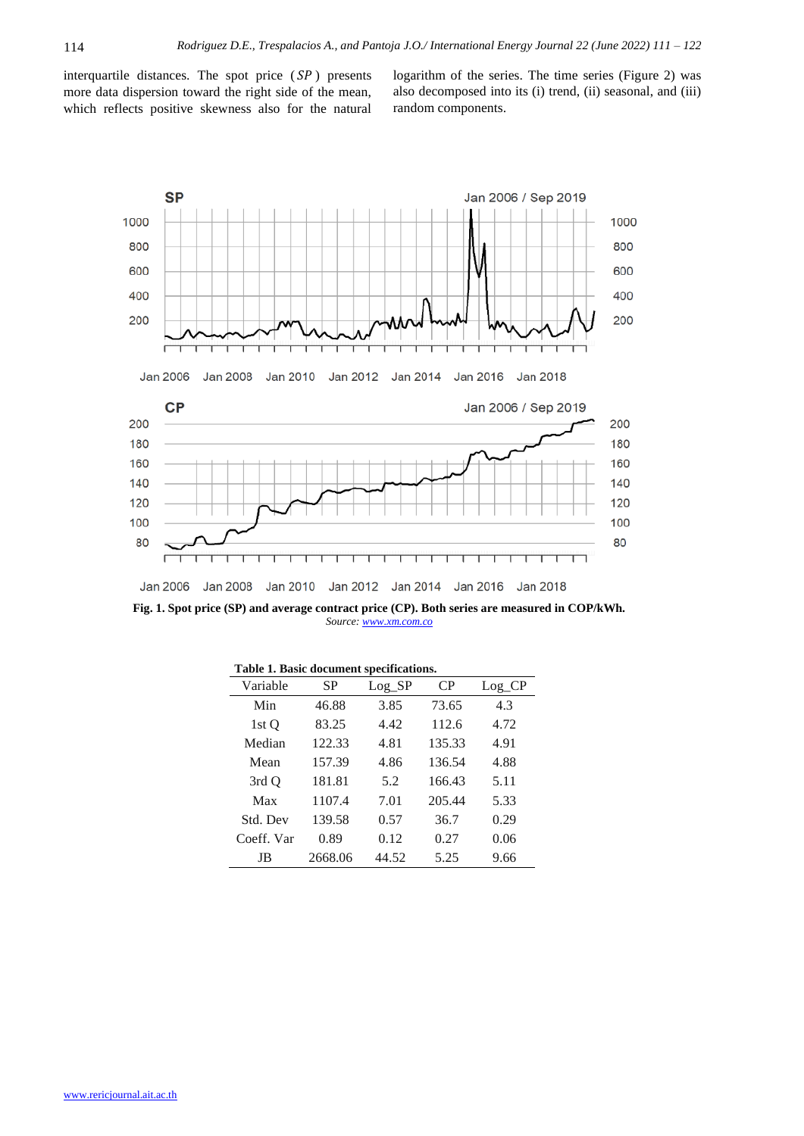interquartile distances. The spot price  $(SP)$  presents more data dispersion toward the right side of the mean, which reflects positive skewness also for the natural logarithm of the series. The time series (Figure 2) was also decomposed into its (i) trend, (ii) seasonal, and (iii) random components.



**Fig. 1. Spot price (SP) and average contract price (CP). Both series are measured in COP/kWh.**  *Source[: www.xm.com.co](http://www.xm.com.co/)*

|  |  |  |  |  | Table 1. Basic document specifications. |
|--|--|--|--|--|-----------------------------------------|
|--|--|--|--|--|-----------------------------------------|

| Variable   | <b>SP</b> | $Log\_SP$ | C <sub>P</sub> | $Log_C$ CP |
|------------|-----------|-----------|----------------|------------|
| Min        | 46.88     | 3.85      | 73.65          | 4.3        |
| 1st O      | 83.25     | 4.42      | 112.6          | 4.72       |
| Median     | 122.33    | 4.81      | 135.33         | 4.91       |
| Mean       | 157.39    | 4.86      | 136.54         | 4.88       |
| 3rd O      | 181.81    | 5.2       | 166.43         | 5.11       |
| Max        | 1107.4    | 7.01      | 205.44         | 5.33       |
| Std. Dev   | 139.58    | 0.57      | 36.7           | 0.29       |
| Coeff. Var | 0.89      | 0.12      | 0.27           | 0.06       |
| JB         | 2668.06   | 44.52     | 5.25           | 9.66       |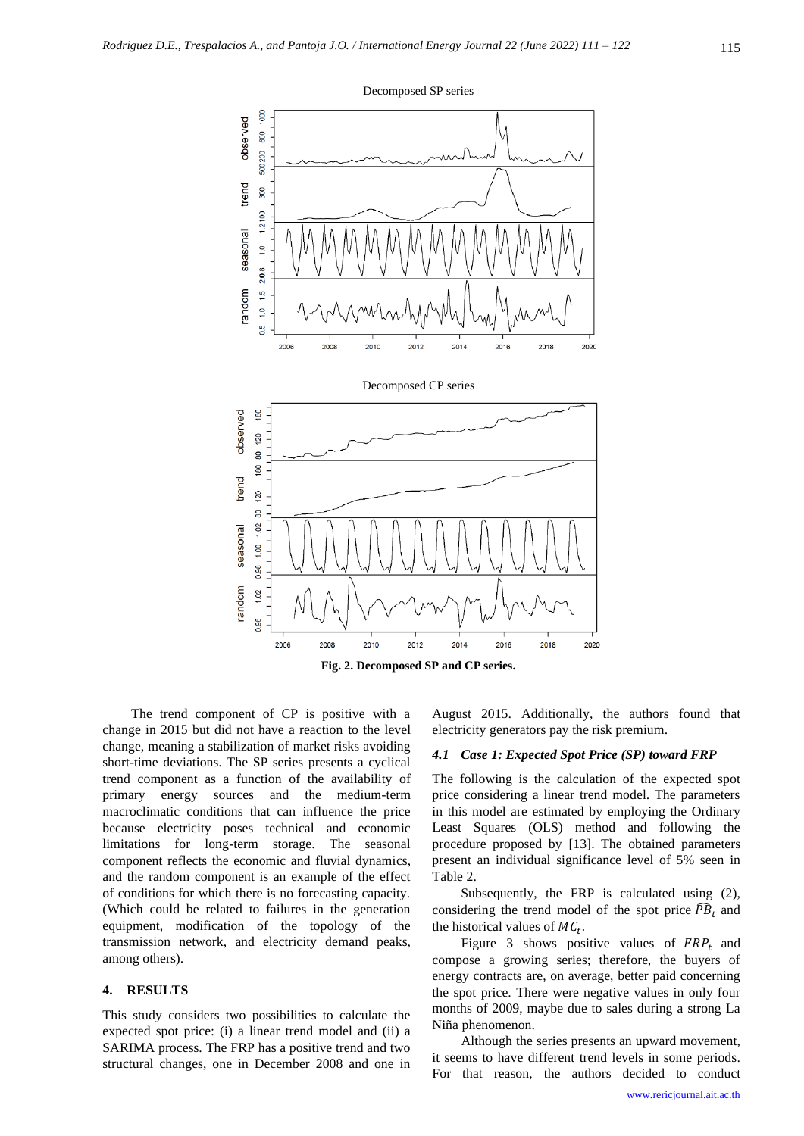

The trend component of CP is positive with a change in 2015 but did not have a reaction to the level change, meaning a stabilization of market risks avoiding short-time deviations. The SP series presents a cyclical trend component as a function of the availability of primary energy sources and the medium-term macroclimatic conditions that can influence the price because electricity poses technical and economic limitations for long-term storage. The seasonal component reflects the economic and fluvial dynamics, and the random component is an example of the effect of conditions for which there is no forecasting capacity. (Which could be related to failures in the generation equipment, modification of the topology of the transmission network, and electricity demand peaks, among others).

#### **4. RESULTS**

This study considers two possibilities to calculate the expected spot price: (i) a linear trend model and (ii) a SARIMA process. The FRP has a positive trend and two structural changes, one in December 2008 and one in August 2015. Additionally, the authors found that electricity generators pay the risk premium.

# *4.1 Case 1: Expected Spot Price (SP) toward FRP*

The following is the calculation of the expected spot price considering a linear trend model. The parameters in this model are estimated by employing the Ordinary Least Squares (OLS) method and following the procedure proposed by [13]. The obtained parameters present an individual significance level of 5% seen in Table 2.

Subsequently, the FRP is calculated using (2), considering the trend model of the spot price  $\widehat{PB}_t$  and the historical values of  $MC_t$ .

Figure 3 shows positive values of  $FRP_t$  and compose a growing series; therefore, the buyers of energy contracts are, on average, better paid concerning the spot price. There were negative values in only four months of 2009, maybe due to sales during a strong La Niña phenomenon.

Although the series presents an upward movement, it seems to have different trend levels in some periods. For that reason, the authors decided to conduct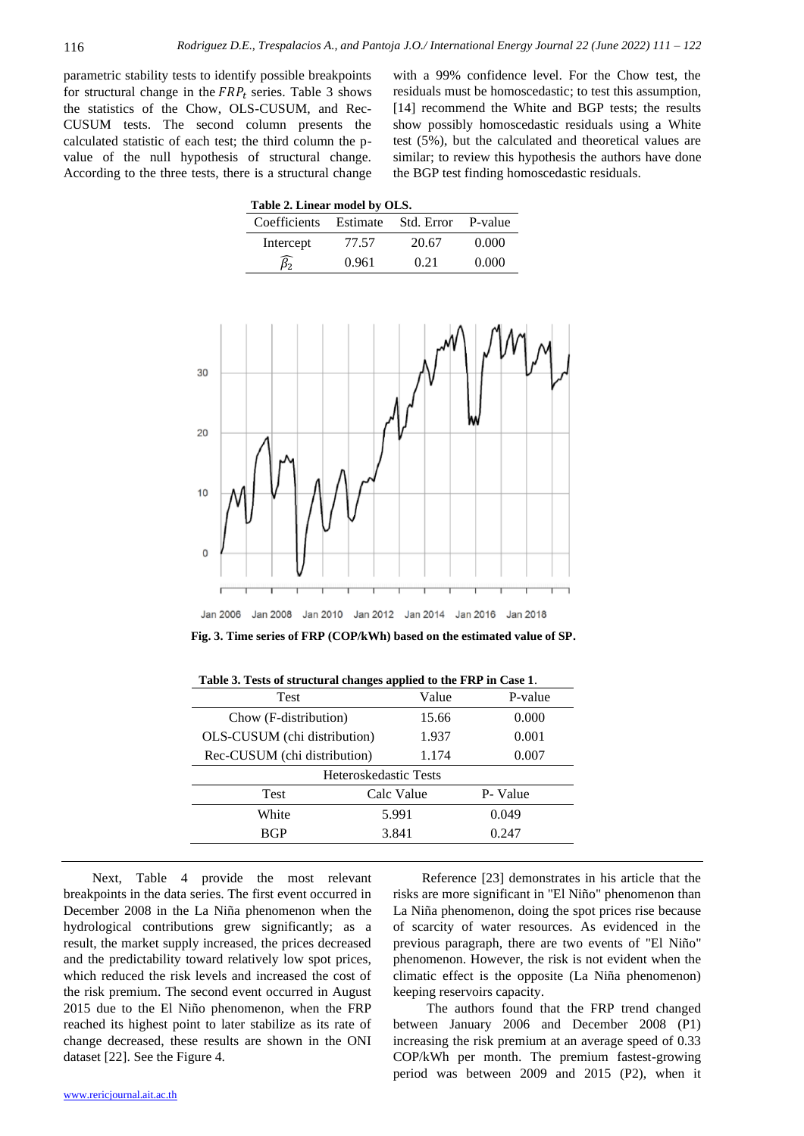parametric stability tests to identify possible breakpoints for structural change in the  $FRP_t$  series. Table 3 shows the statistics of the Chow, OLS-CUSUM, and Rec-CUSUM tests. The second column presents the calculated statistic of each test; the third column the pvalue of the null hypothesis of structural change. According to the three tests, there is a structural change

with a 99% confidence level. For the Chow test, the residuals must be homoscedastic; to test this assumption, [14] recommend the White and BGP tests; the results show possibly homoscedastic residuals using a White test (5%), but the calculated and theoretical values are similar; to review this hypothesis the authors have done the BGP test finding homoscedastic residuals.

| Table 2. Linear model by OLS.            |       |       |       |  |  |  |  |
|------------------------------------------|-------|-------|-------|--|--|--|--|
| Coefficients Estimate Std. Error P-value |       |       |       |  |  |  |  |
| Intercept                                | 77.57 | 20.67 | 0.000 |  |  |  |  |
|                                          | 0.961 | 0.21  | 0.000 |  |  |  |  |



**Fig. 3. Time series of FRP (COP/kWh) based on the estimated value of SP.**

|                              | -<br>. .   |                |          |  |  |  |
|------------------------------|------------|----------------|----------|--|--|--|
| <b>Test</b>                  |            | Value          | P-value  |  |  |  |
| Chow (F-distribution)        |            | 15.66          | 0.000    |  |  |  |
| OLS-CUSUM (chi distribution) |            | 1.937<br>0.001 |          |  |  |  |
| Rec-CUSUM (chi distribution) |            | 1.174          | 0.007    |  |  |  |
| Heteroskedastic Tests        |            |                |          |  |  |  |
| Test                         | Calc Value |                | P- Value |  |  |  |
| White                        |            | 5.991          | 0.049    |  |  |  |
| <b>BGP</b>                   | 3.841      |                | 0.247    |  |  |  |
|                              |            |                |          |  |  |  |

**Table 3. Tests of structural changes applied to the FRP in Case 1**.

Next, Table 4 provide the most relevant breakpoints in the data series. The first event occurred in December 2008 in the La Niña phenomenon when the hydrological contributions grew significantly; as a result, the market supply increased, the prices decreased and the predictability toward relatively low spot prices, which reduced the risk levels and increased the cost of the risk premium. The second event occurred in August 2015 due to the El Niño phenomenon, when the FRP reached its highest point to later stabilize as its rate of change decreased, these results are shown in the ONI dataset [22]. See the Figure 4.

Reference [23] demonstrates in his article that the risks are more significant in "El Niño" phenomenon than La Niña phenomenon, doing the spot prices rise because of scarcity of water resources. As evidenced in the previous paragraph, there are two events of "El Niño" phenomenon. However, the risk is not evident when the climatic effect is the opposite (La Niña phenomenon) keeping reservoirs capacity.

The authors found that the FRP trend changed between January 2006 and December 2008 (P1) increasing the risk premium at an average speed of 0.33 COP/kWh per month. The premium fastest-growing period was between 2009 and 2015 (P2), when it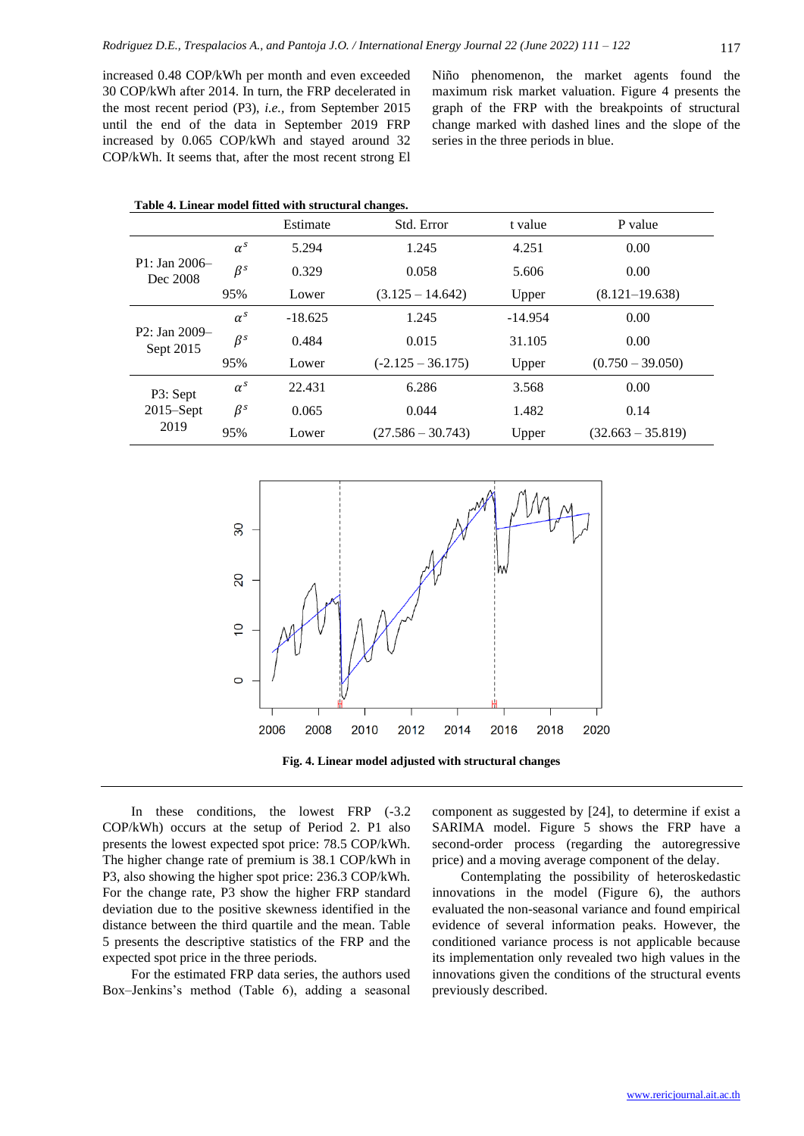increased 0.48 COP/kWh per month and even exceeded 30 COP/kWh after 2014. In turn, the FRP decelerated in the most recent period (P3), *i.e.,* from September 2015 until the end of the data in September 2019 FRP increased by 0.065 COP/kWh and stayed around 32 COP/kWh. It seems that, after the most recent strong El Niño phenomenon, the market agents found the maximum risk market valuation. Figure 4 presents the graph of the FRP with the breakpoints of structural change marked with dashed lines and the slope of the series in the three periods in blue.

| Table 4. Linear model fitted with structural changes. |            |           |                     |           |                     |  |  |  |
|-------------------------------------------------------|------------|-----------|---------------------|-----------|---------------------|--|--|--|
|                                                       |            | Estimate  | Std. Error          | t value   | P value             |  |  |  |
|                                                       | $\alpha^s$ | 5.294     | 1.245               | 4.251     | 0.00                |  |  |  |
| $P1: Jan 2006-$<br>Dec 2008                           | $\beta^s$  | 0.329     | 0.058               | 5.606     | 0.00                |  |  |  |
|                                                       | 95%        | Lower     | $(3.125 - 14.642)$  | Upper     | $(8.121 - 19.638)$  |  |  |  |
|                                                       | $\alpha^s$ | $-18.625$ | 1.245               | $-14.954$ | 0.00                |  |  |  |
| $P2: Jan 2009-$<br>Sept 2015                          | $\beta^s$  | 0.484     | 0.015               | 31.105    | 0.00                |  |  |  |
|                                                       | 95%        | Lower     | $(-2.125 - 36.175)$ | Upper     | $(0.750 - 39.050)$  |  |  |  |
| P3: Sept<br>$2015 -$ Sept<br>2019                     | $\alpha^s$ | 22.431    | 6.286               | 3.568     | 0.00                |  |  |  |
|                                                       | $\beta^s$  | 0.065     | 0.044               | 1.482     | 0.14                |  |  |  |
|                                                       | 95%        | Lower     | $(27.586 - 30.743)$ | Upper     | $(32.663 - 35.819)$ |  |  |  |



In these conditions, the lowest FRP (-3.2 COP/kWh) occurs at the setup of Period 2. P1 also presents the lowest expected spot price: 78.5 COP/kWh. The higher change rate of premium is 38.1 COP/kWh in P3, also showing the higher spot price: 236.3 COP/kWh. For the change rate, P3 show the higher FRP standard deviation due to the positive skewness identified in the distance between the third quartile and the mean. Table 5 presents the descriptive statistics of the FRP and the expected spot price in the three periods.

For the estimated FRP data series, the authors used Box–Jenkins's method (Table 6), adding a seasonal

component as suggested by [24], to determine if exist a SARIMA model. Figure 5 shows the FRP have a second-order process (regarding the autoregressive price) and a moving average component of the delay.

Contemplating the possibility of heteroskedastic innovations in the model (Figure 6), the authors evaluated the non-seasonal variance and found empirical evidence of several information peaks. However, the conditioned variance process is not applicable because its implementation only revealed two high values in the innovations given the conditions of the structural events previously described.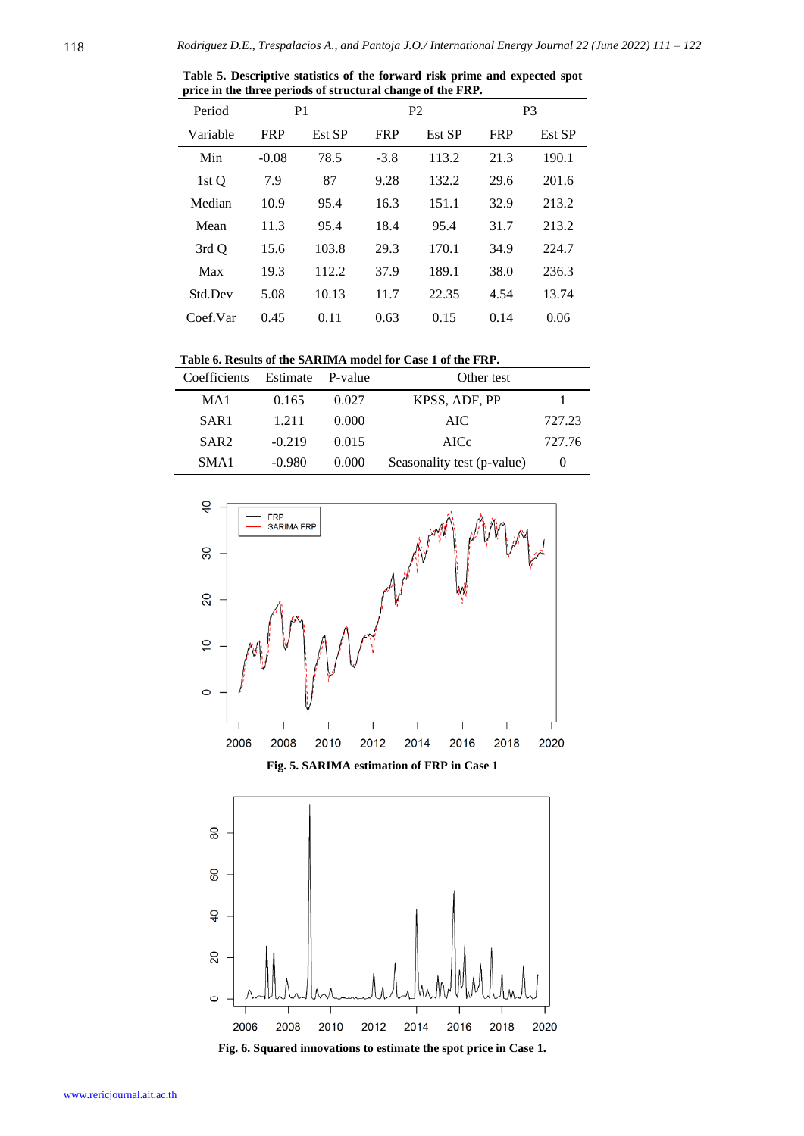| Period   |            | P <sub>1</sub> |            | P <sub>2</sub> |            | P <sub>3</sub> |
|----------|------------|----------------|------------|----------------|------------|----------------|
| Variable | <b>FRP</b> | Est SP         | <b>FRP</b> | Est SP         | <b>FRP</b> | Est SP         |
| Min      | $-0.08$    | 78.5           | $-3.8$     | 113.2          | 21.3       | 190.1          |
| 1st O    | 7.9        | 87             | 9.28       | 132.2          | 29.6       | 201.6          |
| Median   | 10.9       | 95.4           | 16.3       | 151.1          | 32.9       | 213.2          |
| Mean     | 11.3       | 95.4           | 18.4       | 95.4           | 31.7       | 213.2          |
| 3rd Q    | 15.6       | 103.8          | 29.3       | 170.1          | 34.9       | 224.7          |
| Max      | 19.3       | 112.2          | 37.9       | 189.1          | 38.0       | 236.3          |
| Std.Dev  | 5.08       | 10.13          | 11.7       | 22.35          | 4.54       | 13.74          |
| Coef.Var | 0.45       | 0.11           | 0.63       | 0.15           | 0.14       | 0.06           |
|          |            |                |            |                |            |                |

**Table 5. Descriptive statistics of the forward risk prime and expected spot price in the three periods of structural change of the FRP.**

| <b>Coefficients</b> | Estimate | P-value | Other test                 |        |
|---------------------|----------|---------|----------------------------|--------|
| MA <sub>1</sub>     | 0.165    | 0.027   | KPSS, ADF, PP              |        |
| SAR <sub>1</sub>    | 1.211    | 0.000   | AIC.                       | 727.23 |
| SAR <sub>2</sub>    | $-0.219$ | 0.015   | AICc                       | 727.76 |
| SMA <sub>1</sub>    | $-0.980$ | 0.000   | Seasonality test (p-value) |        |



![](_page_7_Figure_6.jpeg)

![](_page_7_Figure_7.jpeg)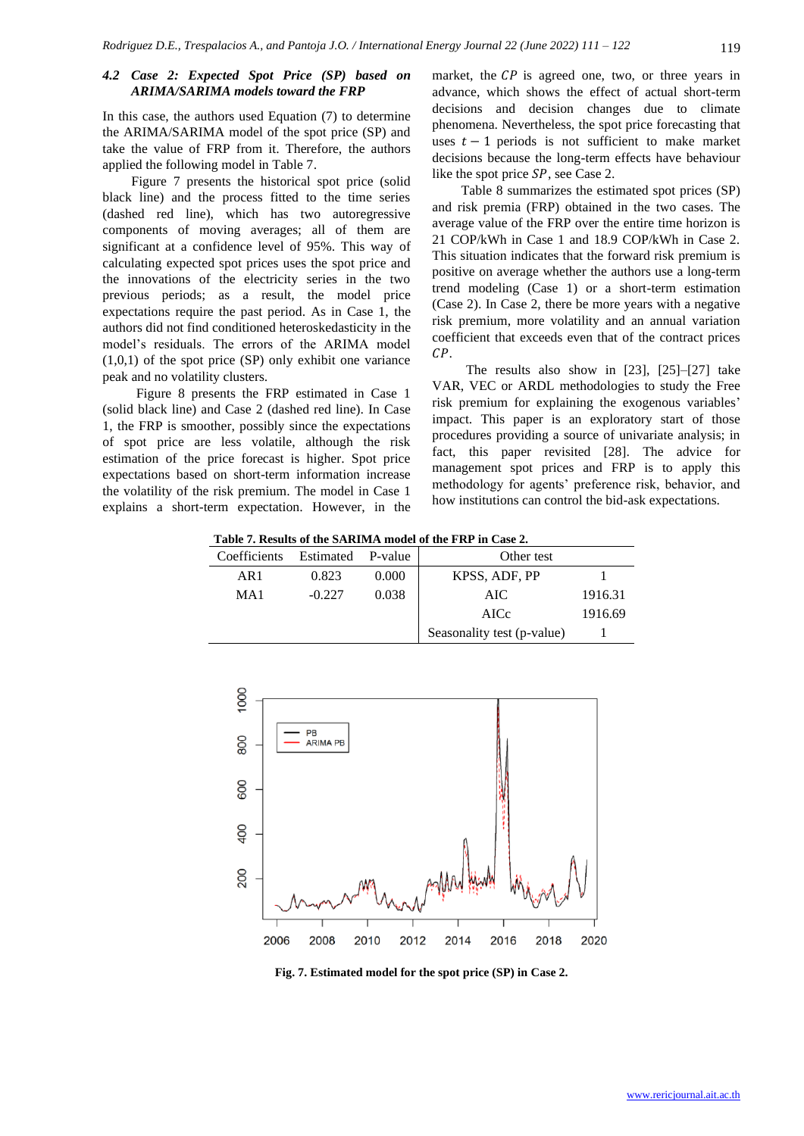### *4.2 Case 2: Expected Spot Price (SP) based on ARIMA/SARIMA models toward the FRP*

In this case, the authors used Equation (7) to determine the ARIMA/SARIMA model of the spot price (SP) and take the value of FRP from it. Therefore, the authors applied the following model in Table 7.

Figure 7 presents the historical spot price (solid black line) and the process fitted to the time series (dashed red line), which has two autoregressive components of moving averages; all of them are significant at a confidence level of 95%. This way of calculating expected spot prices uses the spot price and the innovations of the electricity series in the two previous periods; as a result, the model price expectations require the past period. As in Case 1, the authors did not find conditioned heteroskedasticity in the model's residuals. The errors of the ARIMA model (1,0,1) of the spot price (SP) only exhibit one variance peak and no volatility clusters.

Figure 8 presents the FRP estimated in Case 1 (solid black line) and Case 2 (dashed red line). In Case 1, the FRP is smoother, possibly since the expectations of spot price are less volatile, although the risk estimation of the price forecast is higher. Spot price expectations based on short-term information increase the volatility of the risk premium. The model in Case 1 explains a short-term expectation. However, in the market, the  $\mathcal{CP}$  is agreed one, two, or three years in advance, which shows the effect of actual short-term decisions and decision changes due to climate phenomena. Nevertheless, the spot price forecasting that uses  $t - 1$  periods is not sufficient to make market decisions because the long-term effects have behaviour like the spot price  $SP$ , see Case 2.

Table 8 summarizes the estimated spot prices (SP) and risk premia (FRP) obtained in the two cases. The average value of the FRP over the entire time horizon is 21 COP/kWh in Case 1 and 18.9 COP/kWh in Case 2. This situation indicates that the forward risk premium is positive on average whether the authors use a long-term trend modeling (Case 1) or a short-term estimation (Case 2). In Case 2, there be more years with a negative risk premium, more volatility and an annual variation coefficient that exceeds even that of the contract prices  $\mathcal{CP}$ .

The results also show in [23], [25]–[27] take VAR, VEC or ARDL methodologies to study the Free risk premium for explaining the exogenous variables' impact. This paper is an exploratory start of those procedures providing a source of univariate analysis; in fact, this paper revisited [28]. The advice for management spot prices and FRP is to apply this methodology for agents' preference risk, behavior, and how institutions can control the bid-ask expectations.

**Table 7. Results of the SARIMA model of the FRP in Case 2.**

| Coefficients | Estimated P-value |       | Other test                 |         |
|--------------|-------------------|-------|----------------------------|---------|
| AR1          | 0.823             | 0.000 | KPSS, ADF, PP              |         |
| MA1          | $-0.227$          | 0.038 | AIC.                       | 1916.31 |
|              |                   |       | AICc                       | 1916.69 |
|              |                   |       | Seasonality test (p-value) |         |

![](_page_8_Figure_10.jpeg)

**Fig. 7. Estimated model for the spot price (SP) in Case 2.**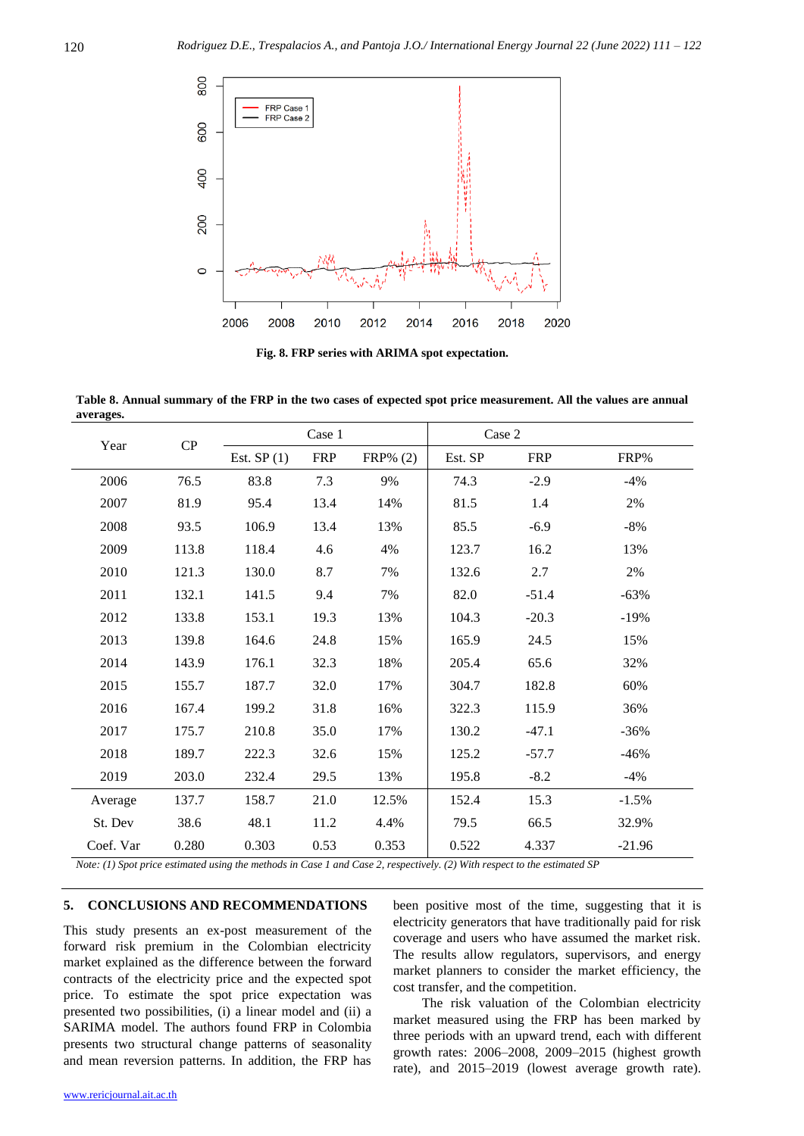![](_page_9_Figure_1.jpeg)

**Fig. 8. FRP series with ARIMA spot expectation.**

**Table 8. Annual summary of the FRP in the two cases of expected spot price measurement. All the values are annual averages.**

| Year      | CP    | Case 1       |            |             | Case 2  |            |          |
|-----------|-------|--------------|------------|-------------|---------|------------|----------|
|           |       | Est. $SP(1)$ | <b>FRP</b> | $FRP\%$ (2) | Est. SP | <b>FRP</b> | FRP%     |
| 2006      | 76.5  | 83.8         | 7.3        | 9%          | 74.3    | $-2.9$     | $-4%$    |
| 2007      | 81.9  | 95.4         | 13.4       | 14%         | 81.5    | 1.4        | 2%       |
| 2008      | 93.5  | 106.9        | 13.4       | 13%         | 85.5    | $-6.9$     | $-8%$    |
| 2009      | 113.8 | 118.4        | 4.6        | 4%          | 123.7   | 16.2       | 13%      |
| 2010      | 121.3 | 130.0        | 8.7        | 7%          | 132.6   | 2.7        | 2%       |
| 2011      | 132.1 | 141.5        | 9.4        | 7%          | 82.0    | $-51.4$    | $-63%$   |
| 2012      | 133.8 | 153.1        | 19.3       | 13%         | 104.3   | $-20.3$    | $-19%$   |
| 2013      | 139.8 | 164.6        | 24.8       | 15%         | 165.9   | 24.5       | 15%      |
| 2014      | 143.9 | 176.1        | 32.3       | 18%         | 205.4   | 65.6       | 32%      |
| 2015      | 155.7 | 187.7        | 32.0       | 17%         | 304.7   | 182.8      | 60%      |
| 2016      | 167.4 | 199.2        | 31.8       | 16%         | 322.3   | 115.9      | 36%      |
| 2017      | 175.7 | 210.8        | 35.0       | 17%         | 130.2   | $-47.1$    | $-36%$   |
| 2018      | 189.7 | 222.3        | 32.6       | 15%         | 125.2   | $-57.7$    | $-46%$   |
| 2019      | 203.0 | 232.4        | 29.5       | 13%         | 195.8   | $-8.2$     | $-4%$    |
| Average   | 137.7 | 158.7        | 21.0       | 12.5%       | 152.4   | 15.3       | $-1.5\%$ |
| St. Dev   | 38.6  | 48.1         | 11.2       | 4.4%        | 79.5    | 66.5       | 32.9%    |
| Coef. Var | 0.280 | 0.303        | 0.53       | 0.353       | 0.522   | 4.337      | $-21.96$ |

*Note: (1) Spot price estimated using the methods in Case 1 and Case 2, respectively. (2) With respect to the estimated SP*

# **5. CONCLUSIONS AND RECOMMENDATIONS**

This study presents an ex-post measurement of the forward risk premium in the Colombian electricity market explained as the difference between the forward contracts of the electricity price and the expected spot price. To estimate the spot price expectation was presented two possibilities, (i) a linear model and (ii) a SARIMA model. The authors found FRP in Colombia presents two structural change patterns of seasonality and mean reversion patterns. In addition, the FRP has been positive most of the time, suggesting that it is electricity generators that have traditionally paid for risk coverage and users who have assumed the market risk. The results allow regulators, supervisors, and energy market planners to consider the market efficiency, the cost transfer, and the competition.

The risk valuation of the Colombian electricity market measured using the FRP has been marked by three periods with an upward trend, each with different growth rates: 2006–2008, 2009–2015 (highest growth rate), and 2015–2019 (lowest average growth rate).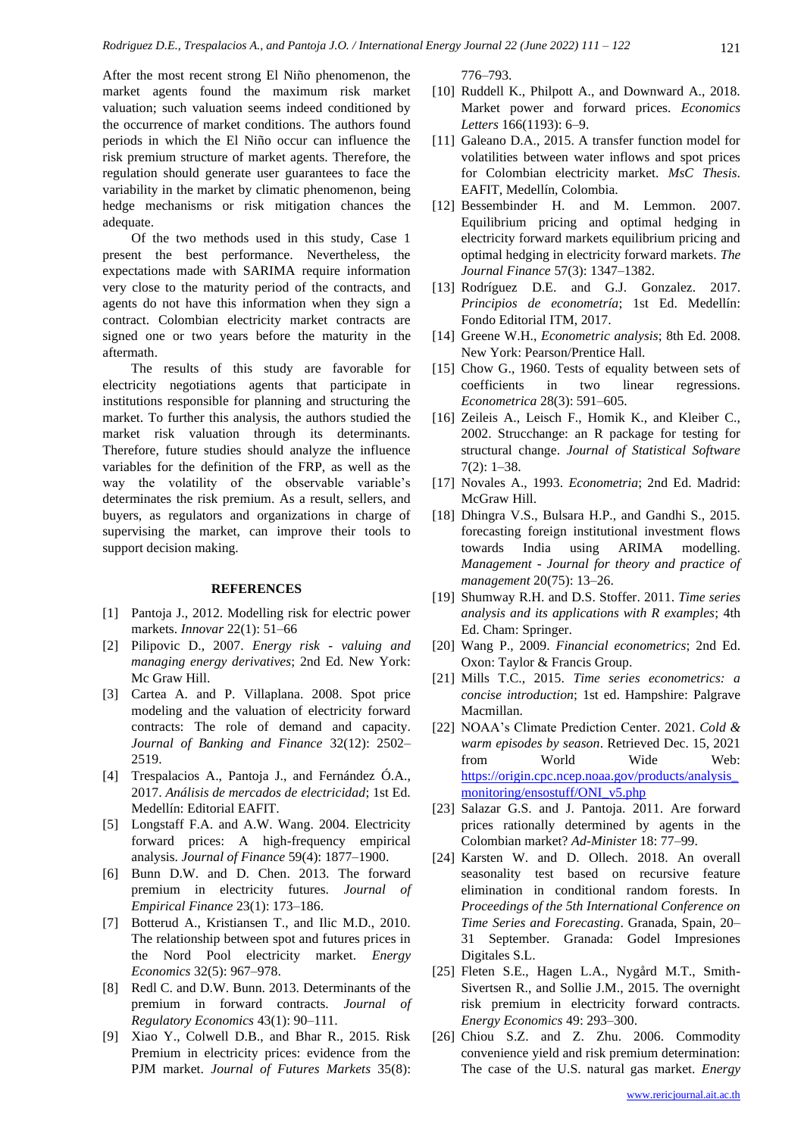After the most recent strong El Niño phenomenon, the market agents found the maximum risk market valuation; such valuation seems indeed conditioned by the occurrence of market conditions. The authors found periods in which the El Niño occur can influence the risk premium structure of market agents. Therefore, the regulation should generate user guarantees to face the variability in the market by climatic phenomenon, being hedge mechanisms or risk mitigation chances the adequate.

Of the two methods used in this study, Case 1 present the best performance. Nevertheless, the expectations made with SARIMA require information very close to the maturity period of the contracts, and agents do not have this information when they sign a contract. Colombian electricity market contracts are signed one or two years before the maturity in the aftermath.

The results of this study are favorable for electricity negotiations agents that participate in institutions responsible for planning and structuring the market. To further this analysis, the authors studied the market risk valuation through its determinants. Therefore, future studies should analyze the influence variables for the definition of the FRP, as well as the way the volatility of the observable variable's determinates the risk premium. As a result, sellers, and buyers, as regulators and organizations in charge of supervising the market, can improve their tools to support decision making.

# **REFERENCES**

- [1] Pantoja J., 2012. Modelling risk for electric power markets. *Innovar* 22(1): 51–66
- [2] Pilipovic D., 2007. *Energy risk - valuing and managing energy derivatives*; 2nd Ed. New York: Mc Graw Hill.
- [3] Cartea A. and P. Villaplana. 2008. Spot price modeling and the valuation of electricity forward contracts: The role of demand and capacity. *Journal of Banking and Finance* 32(12): 2502– 2519.
- [4] Trespalacios A., Pantoja J., and Fernández Ó.A., 2017. *Análisis de mercados de electricidad*; 1st Ed. Medellín: Editorial EAFIT.
- [5] Longstaff F.A. and A.W. Wang. 2004. Electricity forward prices: A high-frequency empirical analysis. *Journal of Finance* 59(4): 1877–1900.
- [6] Bunn D.W. and D. Chen. 2013. The forward premium in electricity futures. *Journal of Empirical Finance* 23(1): 173–186.
- [7] Botterud A., Kristiansen T., and Ilic M.D., 2010. The relationship between spot and futures prices in the Nord Pool electricity market. *Energy Economics* 32(5): 967–978.
- [8] Redl C. and D.W. Bunn. 2013. Determinants of the premium in forward contracts. *Journal of Regulatory Economics* 43(1): 90–111.
- [9] Xiao Y., Colwell D.B., and Bhar R., 2015. Risk Premium in electricity prices: evidence from the PJM market. *Journal of Futures Markets* 35(8):

776–793.

- [10] Ruddell K., Philpott A., and Downward A., 2018. Market power and forward prices. *Economics Letters* 166(1193): 6–9.
- [11] Galeano D.A., 2015. A transfer function model for volatilities between water inflows and spot prices for Colombian electricity market. *MsC Thesis*. EAFIT, Medellín, Colombia.
- [12] Bessembinder H. and M. Lemmon. 2007. Equilibrium pricing and optimal hedging in electricity forward markets equilibrium pricing and optimal hedging in electricity forward markets. *The Journal Finance* 57(3): 1347–1382.
- [13] Rodríguez D.E. and G.J. Gonzalez. 2017. *Principios de econometría*; 1st Ed. Medellín: Fondo Editorial ITM, 2017.
- [14] Greene W.H., *Econometric analysis*; 8th Ed. 2008. New York: Pearson/Prentice Hall.
- [15] Chow G., 1960. Tests of equality between sets of coefficients in two linear regressions. *Econometrica* 28(3): 591–605.
- [16] Zeileis A., Leisch F., Homik K., and Kleiber C., 2002. Strucchange: an R package for testing for structural change. *Journal of Statistical Software* 7(2): 1–38.
- [17] Novales A., 1993. *Econometria*; 2nd Ed. Madrid: McGraw Hill.
- [18] Dhingra V.S., Bulsara H.P., and Gandhi S., 2015. forecasting foreign institutional investment flows towards India using ARIMA modelling. *Management - Journal for theory and practice of management* 20(75): 13–26.
- [19] Shumway R.H. and D.S. Stoffer. 2011. *Time series analysis and its applications with R examples*; 4th Ed. Cham: Springer.
- [20] Wang P., 2009. *Financial econometrics*; 2nd Ed. Oxon: Taylor & Francis Group.
- [21] Mills T.C., 2015. *Time series econometrics: a concise introduction*; 1st ed. Hampshire: Palgrave Macmillan.
- [22] NOAA's Climate Prediction Center. 2021. *Cold & warm episodes by season*. Retrieved Dec. 15, 2021 from World Wide Web: [https://origin.cpc.ncep.noaa.gov/products/analysis\\_](https://origin.cpc.ncep.noaa.gov/products/analysis_monitoring/ensostuff/ONI_v5.php) [monitoring/ensostuff/ONI\\_v5.php](https://origin.cpc.ncep.noaa.gov/products/analysis_monitoring/ensostuff/ONI_v5.php)
- [23] Salazar G.S. and J. Pantoja. 2011. Are forward prices rationally determined by agents in the Colombian market? *Ad-Minister* 18: 77–99.
- [24] Karsten W. and D. Ollech. 2018. An overall seasonality test based on recursive feature elimination in conditional random forests. In *Proceedings of the 5th International Conference on Time Series and Forecasting*. Granada, Spain, 20– 31 September. Granada: Godel Impresiones Digitales S.L.
- [25] Fleten S.E., Hagen L.A., Nygård M.T., Smith-Sivertsen R., and Sollie J.M., 2015. The overnight risk premium in electricity forward contracts. *Energy Economics* 49: 293–300.
- [26] Chiou S.Z. and Z. Zhu. 2006. Commodity convenience yield and risk premium determination: The case of the U.S. natural gas market. *Energy*